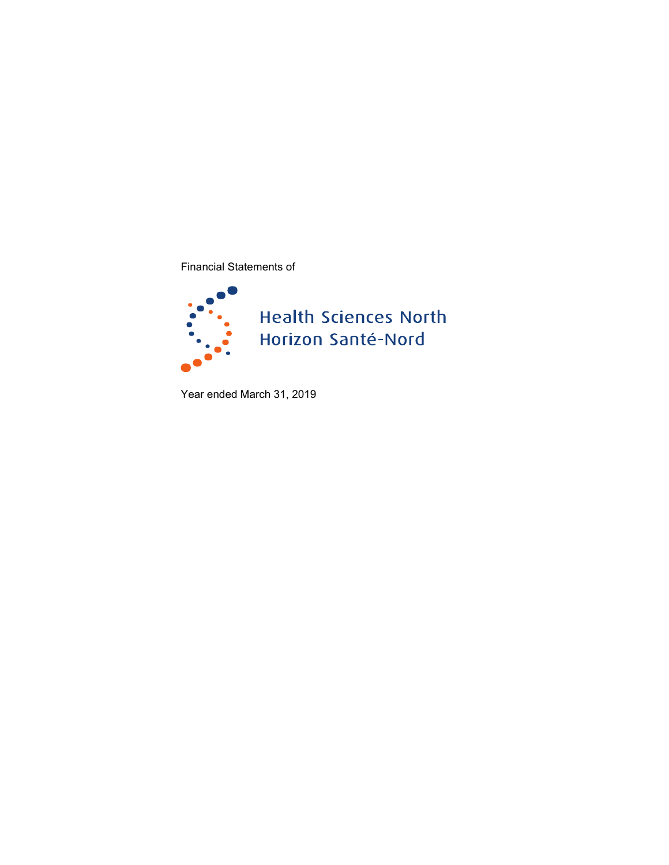Financial Statements of



Year ended March 31, 2019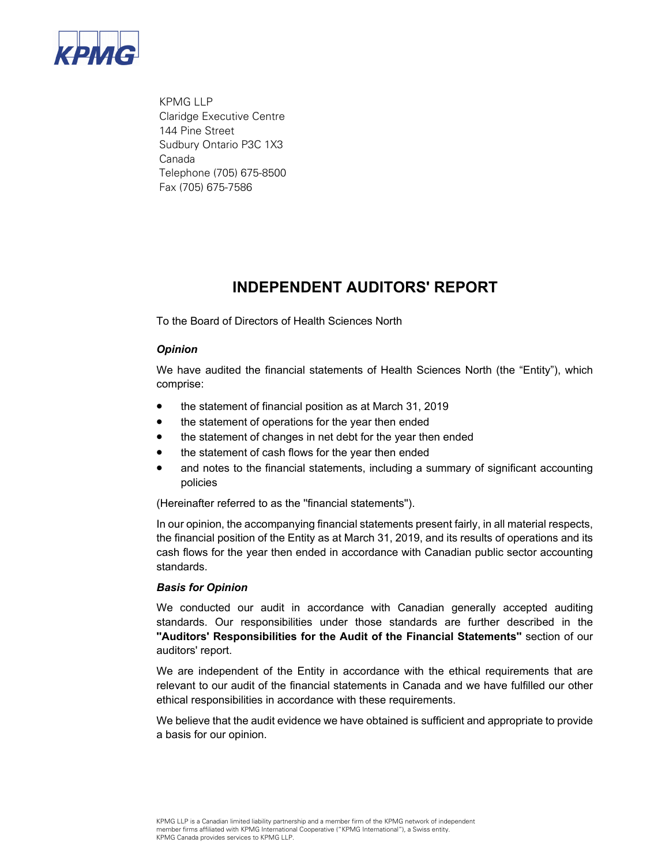

KPMG LLP Claridge Executive Centre 144 Pine Street Sudbury Ontario P3C 1X3 Canada Telephone (705) 675-8500 Fax (705) 675-7586

### **INDEPENDENT AUDITORS' REPORT**

To the Board of Directors of Health Sciences North

#### *Opinion*

We have audited the financial statements of Health Sciences North (the "Entity"), which comprise:

- the statement of financial position as at March 31, 2019
- the statement of operations for the year then ended
- the statement of changes in net debt for the year then ended
- the statement of cash flows for the year then ended
- and notes to the financial statements, including a summary of significant accounting policies

(Hereinafter referred to as the ''financial statements'').

In our opinion, the accompanying financial statements present fairly, in all material respects, the financial position of the Entity as at March 31, 2019, and its results of operations and its cash flows for the year then ended in accordance with Canadian public sector accounting standards.

#### *Basis for Opinion*

 We conducted our audit in accordance with Canadian generally accepted auditing standards. Our responsibilities under those standards are further described in the **''Auditors' Responsibilities for the Audit of the Financial Statements''** section of our auditors' report.

We are independent of the Entity in accordance with the ethical requirements that are relevant to our audit of the financial statements in Canada and we have fulfilled our other ethical responsibilities in accordance with these requirements.

We believe that the audit evidence we have obtained is sufficient and appropriate to provide a basis for our opinion.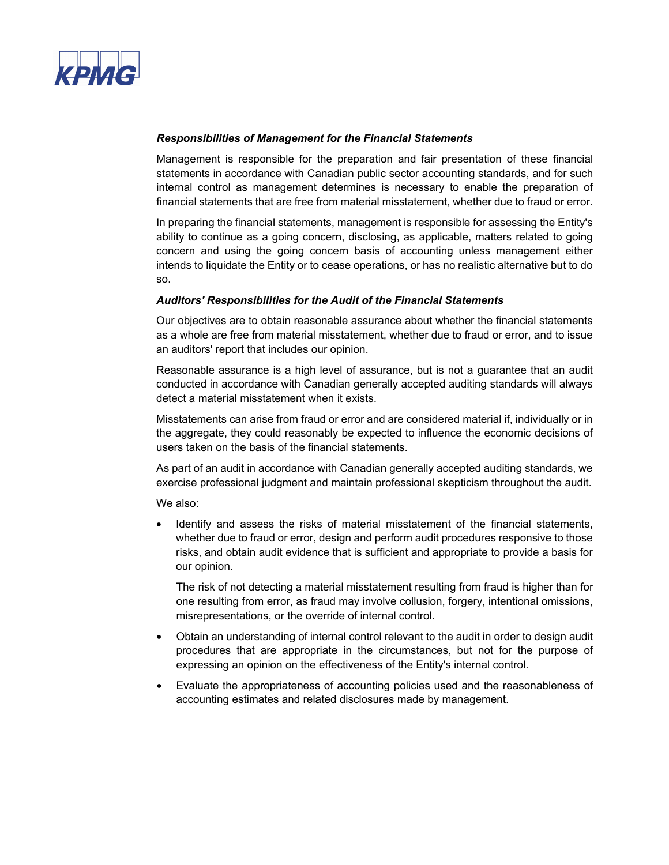

### *Responsibilities of Management for the Financial Statements*

Management is responsible for the preparation and fair presentation of these financial statements in accordance with Canadian public sector accounting standards, and for such internal control as management determines is necessary to enable the preparation of financial statements that are free from material misstatement, whether due to fraud or error.

In preparing the financial statements, management is responsible for assessing the Entity's ability to continue as a going concern, disclosing, as applicable, matters related to going concern and using the going concern basis of accounting unless management either intends to liquidate the Entity or to cease operations, or has no realistic alternative but to do so.

#### *Auditors' Responsibilities for the Audit of the Financial Statements*

Our objectives are to obtain reasonable assurance about whether the financial statements as a whole are free from material misstatement, whether due to fraud or error, and to issue an auditors' report that includes our opinion.

Reasonable assurance is a high level of assurance, but is not a guarantee that an audit conducted in accordance with Canadian generally accepted auditing standards will always detect a material misstatement when it exists.

 the aggregate, they could reasonably be expected to influence the economic decisions of Misstatements can arise from fraud or error and are considered material if, individually or in users taken on the basis of the financial statements.

As part of an audit in accordance with Canadian generally accepted auditing standards, we exercise professional judgment and maintain professional skepticism throughout the audit.

We also:

 whether due to fraud or error, design and perform audit procedures responsive to those • Identify and assess the risks of material misstatement of the financial statements, risks, and obtain audit evidence that is sufficient and appropriate to provide a basis for our opinion.

The risk of not detecting a material misstatement resulting from fraud is higher than for one resulting from error, as fraud may involve collusion, forgery, intentional omissions, misrepresentations, or the override of internal control.

- • Obtain an understanding of internal control relevant to the audit in order to design audit procedures that are appropriate in the circumstances, but not for the purpose of expressing an opinion on the effectiveness of the Entity's internal control.
- Evaluate the appropriateness of accounting policies used and the reasonableness of accounting estimates and related disclosures made by management.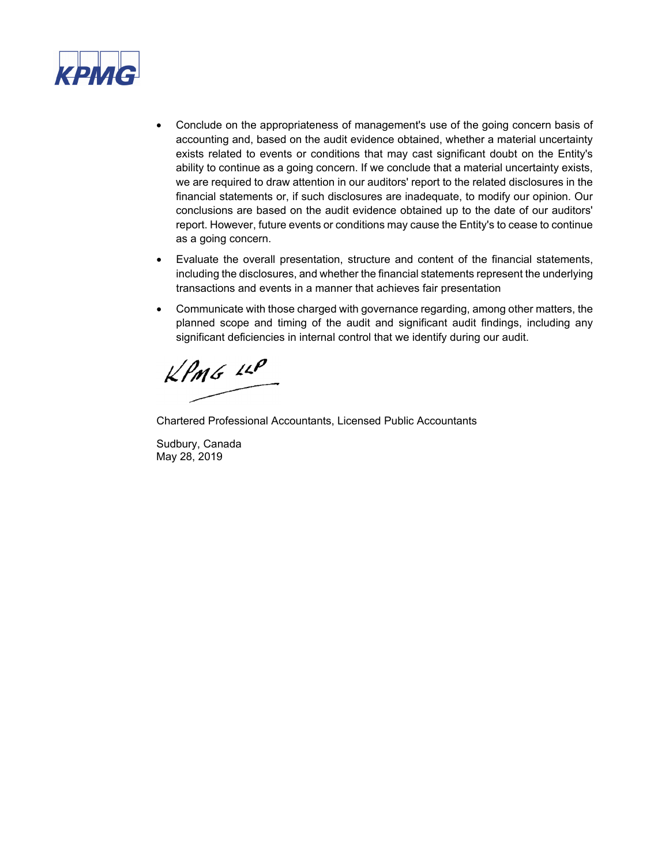

- conclusions are based on the audit evidence obtained up to the date of our auditors' • Conclude on the appropriateness of management's use of the going concern basis of accounting and, based on the audit evidence obtained, whether a material uncertainty exists related to events or conditions that may cast significant doubt on the Entity's ability to continue as a going concern. If we conclude that a material uncertainty exists, we are required to draw attention in our auditors' report to the related disclosures in the financial statements or, if such disclosures are inadequate, to modify our opinion. Our report. However, future events or conditions may cause the Entity's to cease to continue as a going concern.
- Evaluate the overall presentation, structure and content of the financial statements, including the disclosures, and whether the financial statements represent the underlying transactions and events in a manner that achieves fair presentation
- planned scope and timing of the audit and significant audit findings, including any • Communicate with those charged with governance regarding, among other matters, the significant deficiencies in internal control that we identify during our audit.

 $k$ *PMG LLP* 

Chartered Professional Accountants, Licensed Public Accountants

Sudbury, Canada May 28, 2019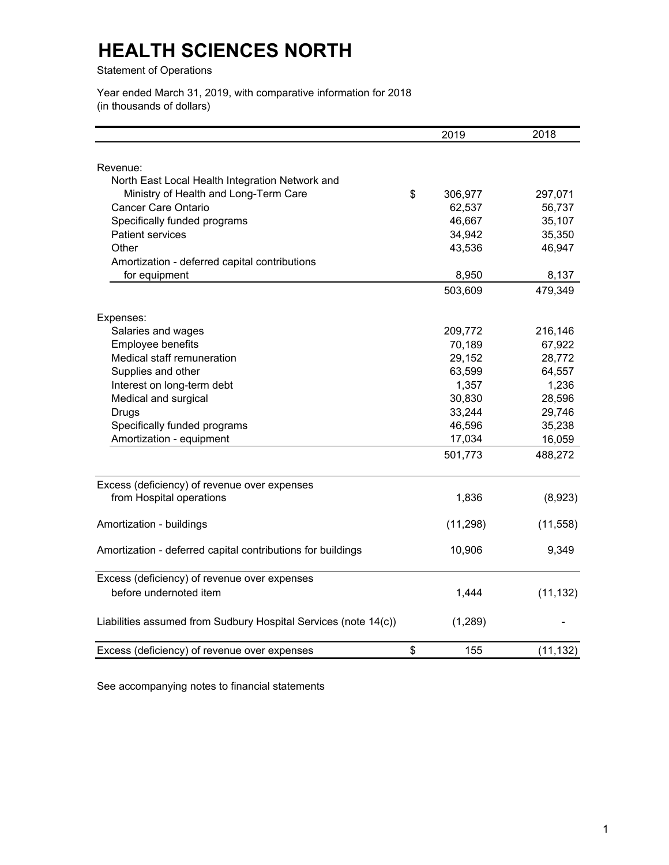Statement of Operations

Year ended March 31, 2019, with comparative information for 2018 (in thousands of dollars)

|                                                                 | 2019          | 2018      |
|-----------------------------------------------------------------|---------------|-----------|
|                                                                 |               |           |
| Revenue:                                                        |               |           |
| North East Local Health Integration Network and                 |               |           |
| Ministry of Health and Long-Term Care                           | \$<br>306,977 | 297,071   |
| <b>Cancer Care Ontario</b>                                      | 62,537        | 56,737    |
| Specifically funded programs                                    | 46,667        | 35,107    |
| <b>Patient services</b>                                         | 34,942        | 35,350    |
| Other                                                           | 43,536        | 46,947    |
| Amortization - deferred capital contributions                   |               |           |
| for equipment                                                   | 8,950         | 8,137     |
|                                                                 | 503,609       | 479,349   |
| Expenses:                                                       |               |           |
| Salaries and wages                                              | 209,772       | 216,146   |
| Employee benefits                                               | 70,189        | 67,922    |
| Medical staff remuneration                                      | 29,152        | 28,772    |
| Supplies and other                                              | 63,599        | 64,557    |
| Interest on long-term debt                                      | 1,357         | 1,236     |
| Medical and surgical                                            | 30,830        | 28,596    |
| <b>Drugs</b>                                                    | 33,244        | 29,746    |
| Specifically funded programs                                    | 46,596        | 35,238    |
| Amortization - equipment                                        | 17,034        | 16,059    |
|                                                                 | 501,773       | 488,272   |
| Excess (deficiency) of revenue over expenses                    |               |           |
| from Hospital operations                                        | 1,836         | (8,923)   |
| Amortization - buildings                                        | (11, 298)     | (11, 558) |
|                                                                 |               |           |
| Amortization - deferred capital contributions for buildings     | 10,906        | 9,349     |
| Excess (deficiency) of revenue over expenses                    |               |           |
| before undernoted item                                          | 1,444         | (11, 132) |
| Liabilities assumed from Sudbury Hospital Services (note 14(c)) | (1, 289)      |           |
| Excess (deficiency) of revenue over expenses                    | \$<br>155     | (11, 132) |

See accompanying notes to financial statements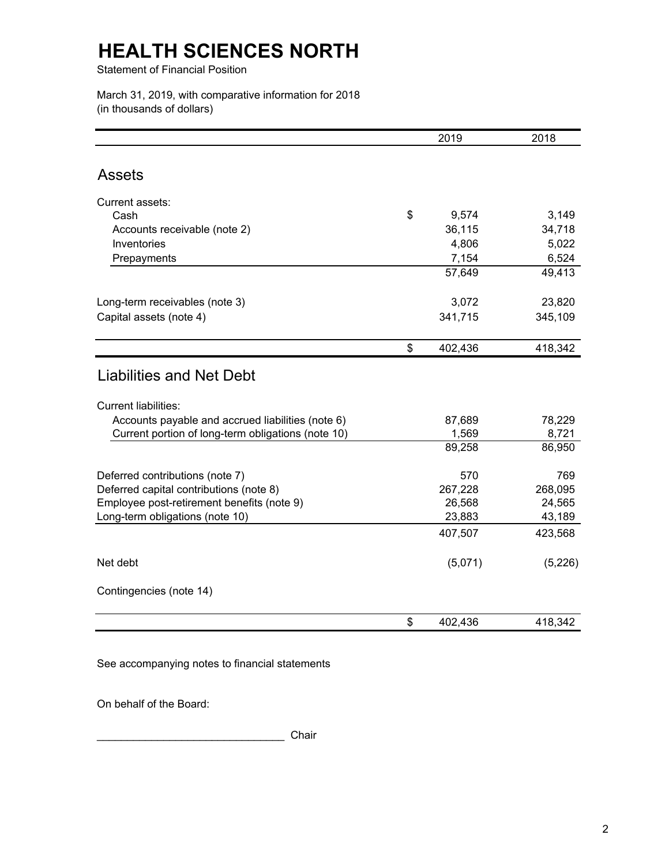Statement of Financial Position

March 31, 2019, with comparative information for 2018 (in thousands of dollars)

|                                                    | 2019            | 2018            |
|----------------------------------------------------|-----------------|-----------------|
|                                                    |                 |                 |
| <b>Assets</b>                                      |                 |                 |
| Current assets:                                    |                 |                 |
| Cash                                               | \$<br>9,574     | 3,149           |
| Accounts receivable (note 2)                       | 36,115          | 34,718          |
| Inventories                                        | 4,806           | 5,022           |
| Prepayments                                        | 7,154           | 6,524           |
|                                                    | 57,649          | 49,413          |
| Long-term receivables (note 3)                     | 3,072           | 23,820          |
| Capital assets (note 4)                            | 341,715         | 345,109         |
|                                                    | \$<br>402,436   | 418,342         |
| <b>Liabilities and Net Debt</b>                    |                 |                 |
| <b>Current liabilities:</b>                        |                 |                 |
| Accounts payable and accrued liabilities (note 6)  | 87,689          | 78,229          |
| Current portion of long-term obligations (note 10) | 1,569<br>89,258 | 8,721<br>86,950 |
| Deferred contributions (note 7)                    | 570             | 769             |
| Deferred capital contributions (note 8)            | 267,228         | 268,095         |
| Employee post-retirement benefits (note 9)         | 26,568          | 24,565          |
| Long-term obligations (note 10)                    | 23,883          | 43,189          |
|                                                    | 407,507         | 423,568         |
| Net debt                                           | (5,071)         | (5,226)         |
| Contingencies (note 14)                            |                 |                 |
|                                                    | \$<br>402,436   | 418,342         |

See accompanying notes to financial statements

On behalf of the Board:

\_\_\_\_\_\_\_\_\_\_\_\_\_\_\_\_\_\_\_\_\_\_\_\_\_\_\_\_\_\_\_ Chair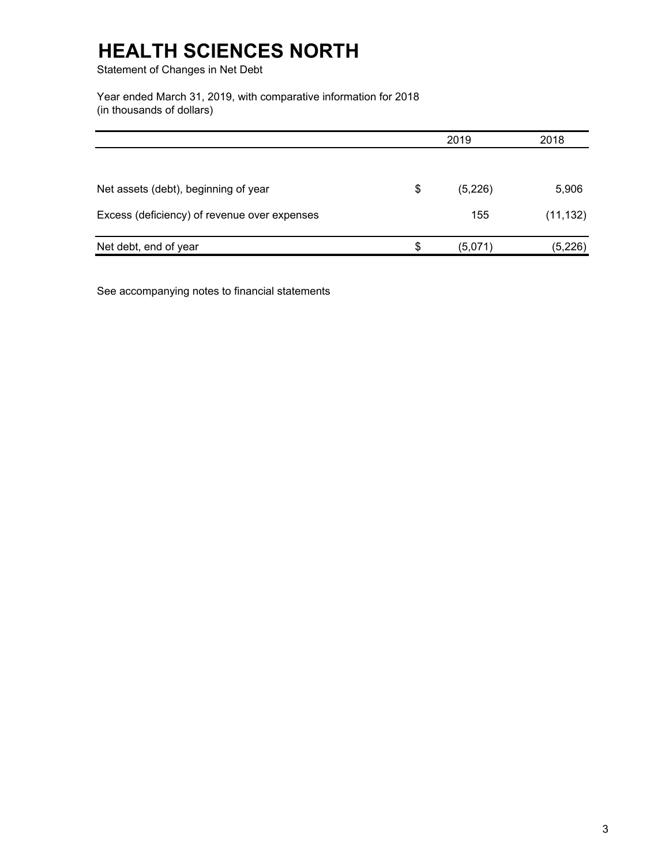Statement of Changes in Net Debt

Year ended March 31, 2019, with comparative information for 2018 (in thousands of dollars)

|                                              | 2019          |           |
|----------------------------------------------|---------------|-----------|
|                                              |               |           |
| Net assets (debt), beginning of year         | \$<br>(5,226) | 5,906     |
| Excess (deficiency) of revenue over expenses | 155           | (11, 132) |
| Net debt, end of year                        | \$<br>(5,071) | (5,226)   |

See accompanying notes to financial statements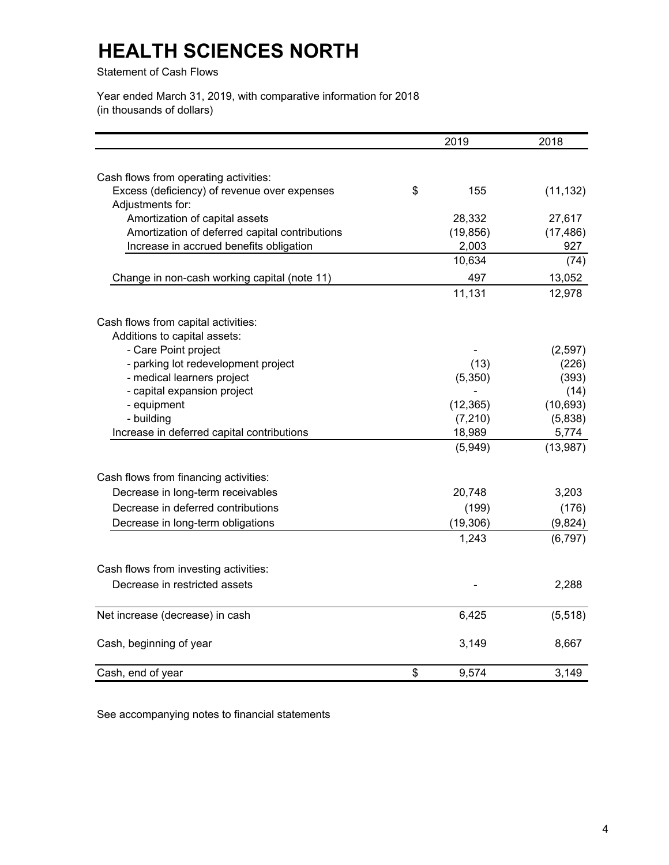Statement of Cash Flows

Year ended March 31, 2019, with comparative information for 2018 (in thousands of dollars)

|                                                | 2019        | 2018      |
|------------------------------------------------|-------------|-----------|
|                                                |             |           |
| Cash flows from operating activities:          |             |           |
| Excess (deficiency) of revenue over expenses   | \$<br>155   | (11, 132) |
| Adjustments for:                               |             |           |
| Amortization of capital assets                 | 28,332      | 27,617    |
| Amortization of deferred capital contributions | (19, 856)   | (17, 486) |
| Increase in accrued benefits obligation        | 2,003       | 927       |
|                                                | 10,634      | (74)      |
| Change in non-cash working capital (note 11)   | 497         | 13,052    |
|                                                | 11,131      | 12,978    |
| Cash flows from capital activities:            |             |           |
| Additions to capital assets:                   |             |           |
| - Care Point project                           |             | (2,597)   |
| - parking lot redevelopment project            | (13)        | (226)     |
| - medical learners project                     | (5,350)     | (393)     |
| - capital expansion project                    |             | (14)      |
| - equipment                                    | (12, 365)   | (10, 693) |
| - building                                     | (7, 210)    | (5,838)   |
| Increase in deferred capital contributions     | 18,989      | 5,774     |
|                                                | (5,949)     | (13,987)  |
| Cash flows from financing activities:          |             |           |
| Decrease in long-term receivables              | 20,748      | 3,203     |
| Decrease in deferred contributions             | (199)       | (176)     |
| Decrease in long-term obligations              | (19, 306)   | (9,824)   |
|                                                | 1,243       | (6, 797)  |
| Cash flows from investing activities:          |             |           |
| Decrease in restricted assets                  |             | 2,288     |
| Net increase (decrease) in cash                | 6,425       | (5, 518)  |
|                                                |             |           |
| Cash, beginning of year                        | 3,149       | 8,667     |
| Cash, end of year                              | \$<br>9,574 | 3,149     |

See accompanying notes to financial statements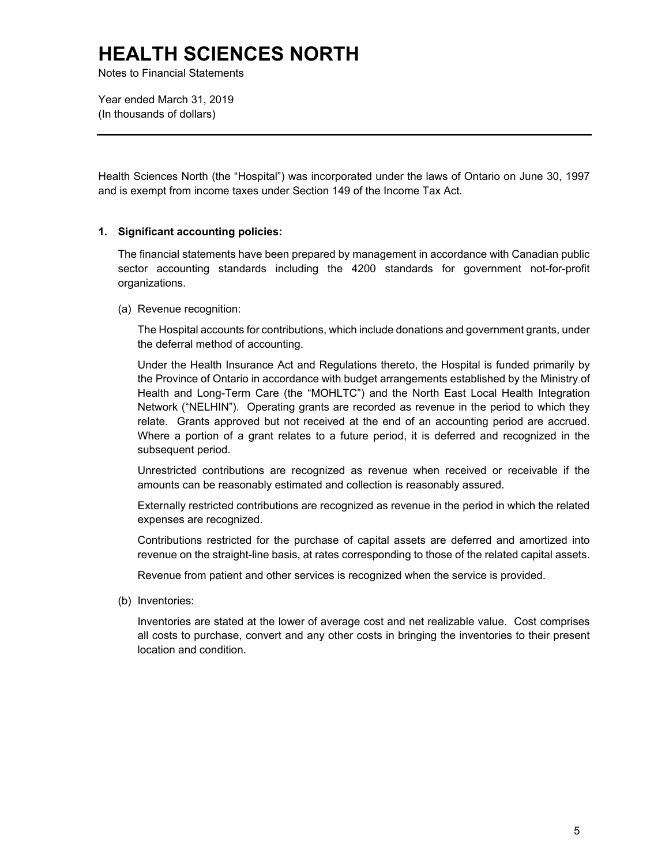Notes to Financial Statements

Year ended March 31, 2019 (In thousands of dollars)

 Health Sciences North (the "Hospital") was incorporated under the laws of Ontario on June 30, 1997 and is exempt from income taxes under Section 149 of the Income Tax Act.

### **1. Significant accounting policies:**

The financial statements have been prepared by management in accordance with Canadian public sector accounting standards including the 4200 standards for government not-for-profit organizations.

(a) Revenue recognition:

The Hospital accounts for contributions, which include donations and government grants, under the deferral method of accounting.

 relate. Grants approved but not received at the end of an accounting period are accrued. Where a portion of a grant relates to a future period, it is deferred and recognized in the Under the Health Insurance Act and Regulations thereto, the Hospital is funded primarily by the Province of Ontario in accordance with budget arrangements established by the Ministry of Health and Long-Term Care (the "MOHLTC") and the North East Local Health Integration Network ("NELHIN"). Operating grants are recorded as revenue in the period to which they subsequent period.

Unrestricted contributions are recognized as revenue when received or receivable if the amounts can be reasonably estimated and collection is reasonably assured.

Externally restricted contributions are recognized as revenue in the period in which the related expenses are recognized.

Contributions restricted for the purchase of capital assets are deferred and amortized into revenue on the straight-line basis, at rates corresponding to those of the related capital assets.

Revenue from patient and other services is recognized when the service is provided.

(b) Inventories:

 all costs to purchase, convert and any other costs in bringing the inventories to their present Inventories are stated at the lower of average cost and net realizable value. Cost comprises location and condition.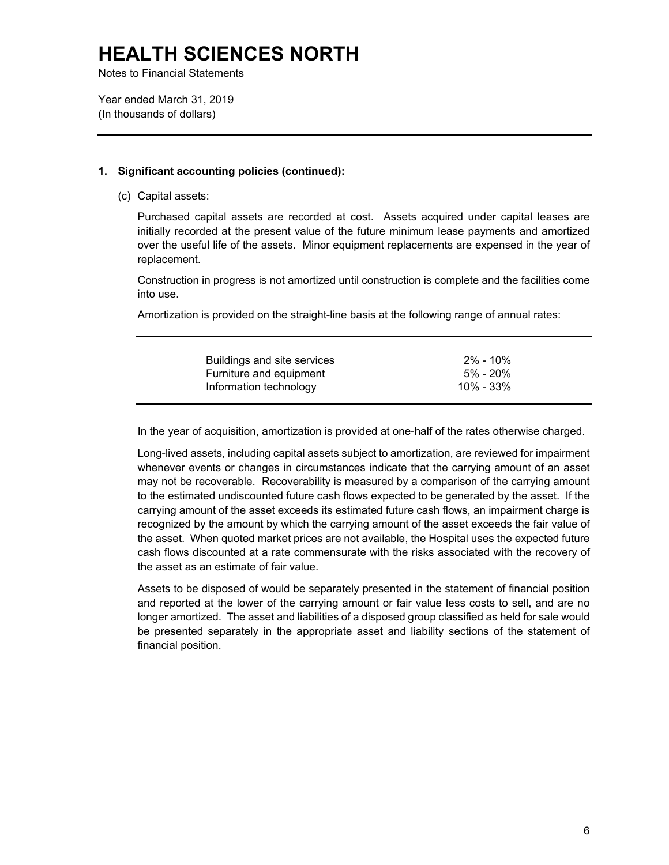Notes to Financial Statements

Year ended March 31, 2019 (In thousands of dollars)

### **1. Significant accounting policies (continued):**

(c) Capital assets:

 over the useful life of the assets. Minor equipment replacements are expensed in the year of Purchased capital assets are recorded at cost. Assets acquired under capital leases are initially recorded at the present value of the future minimum lease payments and amortized replacement.

 Construction in progress is not amortized until construction is complete and the facilities come into use.

Amortization is provided on the straight-line basis at the following range of annual rates:

| Buildings and site services | 2% - 10%  |
|-----------------------------|-----------|
| Furniture and equipment     | 5% - 20%  |
| Information technology      | 10% - 33% |

In the year of acquisition, amortization is provided at one-half of the rates otherwise charged.

 to the estimated undiscounted future cash flows expected to be generated by the asset. If the cash flows discounted at a rate commensurate with the risks associated with the recovery of Long-lived assets, including capital assets subject to amortization, are reviewed for impairment whenever events or changes in circumstances indicate that the carrying amount of an asset may not be recoverable. Recoverability is measured by a comparison of the carrying amount carrying amount of the asset exceeds its estimated future cash flows, an impairment charge is recognized by the amount by which the carrying amount of the asset exceeds the fair value of the asset. When quoted market prices are not available, the Hospital uses the expected future the asset as an estimate of fair value.

Assets to be disposed of would be separately presented in the statement of financial position and reported at the lower of the carrying amount or fair value less costs to sell, and are no longer amortized. The asset and liabilities of a disposed group classified as held for sale would be presented separately in the appropriate asset and liability sections of the statement of financial position.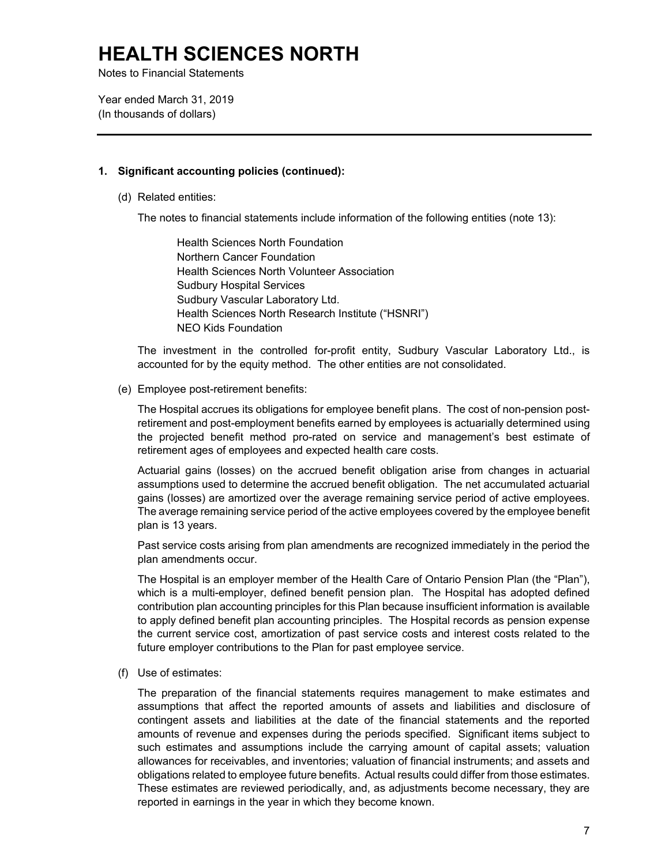Notes to Financial Statements

Year ended March 31, 2019 (In thousands of dollars)

#### **1. Significant accounting policies (continued):**

(d) Related entities:

The notes to financial statements include information of the following entities (note 13):

Health Sciences North Foundation Northern Cancer Foundation Health Sciences North Volunteer Association Sudbury Hospital Services Sudbury Vascular Laboratory Ltd. Health Sciences North Research Institute ("HSNRI") NEO Kids Foundation

The investment in the controlled for-profit entity, Sudbury Vascular Laboratory Ltd., is accounted for by the equity method. The other entities are not consolidated.

#### (e) Employee post-retirement benefits:

The Hospital accrues its obligations for employee benefit plans. The cost of non-pension postretirement and post-employment benefits earned by employees is actuarially determined using the projected benefit method pro-rated on service and management's best estimate of retirement ages of employees and expected health care costs.

Actuarial gains (losses) on the accrued benefit obligation arise from changes in actuarial assumptions used to determine the accrued benefit obligation. The net accumulated actuarial gains (losses) are amortized over the average remaining service period of active employees. The average remaining service period of the active employees covered by the employee benefit plan is 13 years.

Past service costs arising from plan amendments are recognized immediately in the period the plan amendments occur.

 to apply defined benefit plan accounting principles. The Hospital records as pension expense The Hospital is an employer member of the Health Care of Ontario Pension Plan (the "Plan"), which is a multi-employer, defined benefit pension plan. The Hospital has adopted defined contribution plan accounting principles for this Plan because insufficient information is available the current service cost, amortization of past service costs and interest costs related to the future employer contributions to the Plan for past employee service.

(f) Use of estimates:

 contingent assets and liabilities at the date of the financial statements and the reported obligations related to employee future benefits. Actual results could differ from those estimates. reported in earnings in the year in which they become known. The preparation of the financial statements requires management to make estimates and assumptions that affect the reported amounts of assets and liabilities and disclosure of amounts of revenue and expenses during the periods specified. Significant items subject to such estimates and assumptions include the carrying amount of capital assets; valuation allowances for receivables, and inventories; valuation of financial instruments; and assets and These estimates are reviewed periodically, and, as adjustments become necessary, they are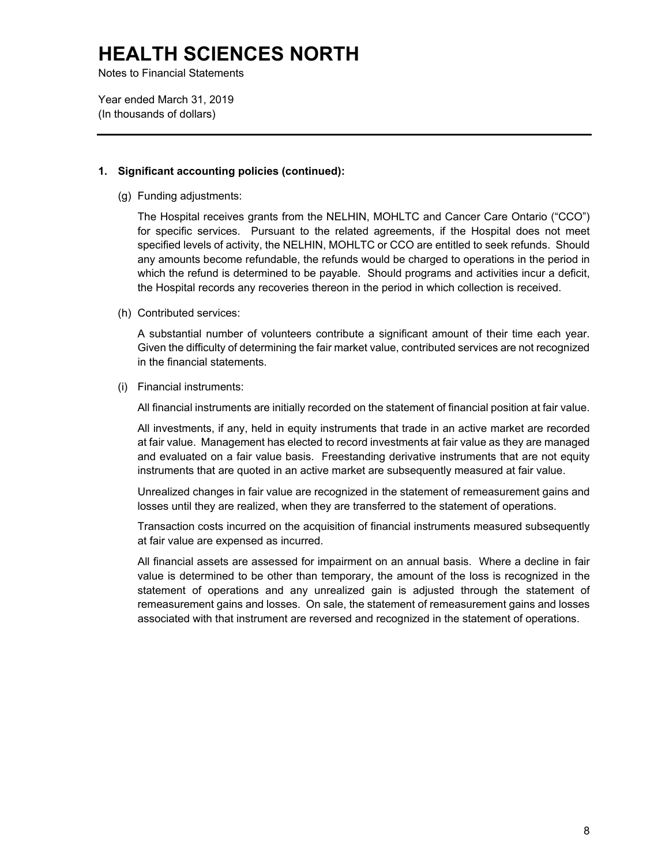Notes to Financial Statements

Year ended March 31, 2019 (In thousands of dollars)

#### **1. Significant accounting policies (continued):**

(g) Funding adjustments:

 for specific services. Pursuant to the related agreements, if the Hospital does not meet specified levels of activity, the NELHIN, MOHLTC or CCO are entitled to seek refunds. Should which the refund is determined to be payable. Should programs and activities incur a deficit, The Hospital receives grants from the NELHIN, MOHLTC and Cancer Care Ontario ("CCO") any amounts become refundable, the refunds would be charged to operations in the period in the Hospital records any recoveries thereon in the period in which collection is received.

(h) Contributed services:

 Given the difficulty of determining the fair market value, contributed services are not recognized A substantial number of volunteers contribute a significant amount of their time each year. in the financial statements.

(i) Financial instruments:

All financial instruments are initially recorded on the statement of financial position at fair value.

 at fair value. Management has elected to record investments at fair value as they are managed All investments, if any, held in equity instruments that trade in an active market are recorded and evaluated on a fair value basis. Freestanding derivative instruments that are not equity instruments that are quoted in an active market are subsequently measured at fair value.

Unrealized changes in fair value are recognized in the statement of remeasurement gains and losses until they are realized, when they are transferred to the statement of operations.

Transaction costs incurred on the acquisition of financial instruments measured subsequently at fair value are expensed as incurred.

 statement of operations and any unrealized gain is adjusted through the statement of remeasurement gains and losses. On sale, the statement of remeasurement gains and losses All financial assets are assessed for impairment on an annual basis. Where a decline in fair value is determined to be other than temporary, the amount of the loss is recognized in the associated with that instrument are reversed and recognized in the statement of operations.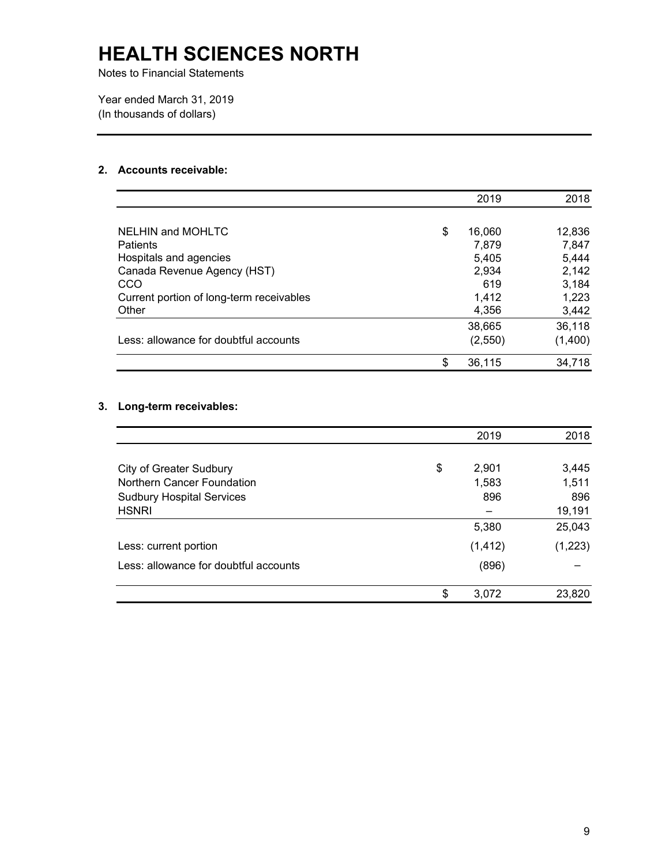Notes to Financial Statements

Year ended March 31, 2019 (In thousands of dollars)

### **2. Accounts receivable:**

|                                          | 2019         | 2018    |
|------------------------------------------|--------------|---------|
|                                          |              |         |
| NELHIN and MOHLTC                        | \$<br>16,060 | 12,836  |
| <b>Patients</b>                          | 7.879        | 7,847   |
| Hospitals and agencies                   | 5,405        | 5,444   |
| Canada Revenue Agency (HST)              | 2,934        | 2,142   |
| CCO                                      | 619          | 3,184   |
| Current portion of long-term receivables | 1,412        | 1,223   |
| Other                                    | 4,356        | 3,442   |
|                                          | 38,665       | 36,118  |
| Less: allowance for doubtful accounts    | (2,550)      | (1,400) |
|                                          | \$<br>36,115 | 34,718  |

### **3. Long-term receivables:**

|                                       | 2019        | 2018    |
|---------------------------------------|-------------|---------|
|                                       |             |         |
| <b>City of Greater Sudbury</b>        | \$<br>2,901 | 3,445   |
| Northern Cancer Foundation            | 1,583       | 1,511   |
| <b>Sudbury Hospital Services</b>      | 896         | 896     |
| <b>HSNRI</b>                          |             | 19,191  |
|                                       | 5,380       | 25,043  |
| Less: current portion                 | (1, 412)    | (1,223) |
| Less: allowance for doubtful accounts | (896)       |         |
|                                       | \$<br>3,072 | 23,820  |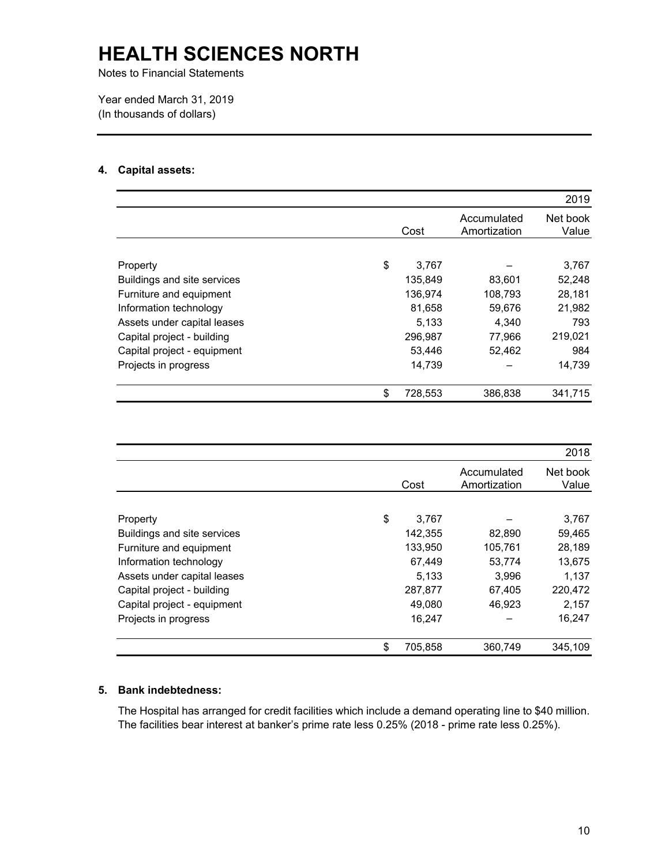Notes to Financial Statements

Year ended March 31, 2019 (In thousands of dollars)

### **4. Capital assets:**

|                             |               |                             | 2019              |
|-----------------------------|---------------|-----------------------------|-------------------|
|                             | Cost          | Accumulated<br>Amortization | Net book<br>Value |
| Property                    | \$<br>3,767   |                             | 3,767             |
| Buildings and site services | 135,849       | 83,601                      | 52,248            |
| Furniture and equipment     | 136,974       | 108,793                     | 28,181            |
| Information technology      | 81,658        | 59,676                      | 21,982            |
| Assets under capital leases | 5.133         | 4,340                       | 793               |
| Capital project - building  | 296,987       | 77,966                      | 219,021           |
| Capital project - equipment | 53,446        | 52,462                      | 984               |
| Projects in progress        | 14,739        |                             | 14,739            |
|                             | \$<br>728,553 | 386,838                     | 341,715           |

|                             |               |                             | 2018              |
|-----------------------------|---------------|-----------------------------|-------------------|
|                             | Cost          | Accumulated<br>Amortization | Net book<br>Value |
|                             |               |                             |                   |
| Property                    | \$<br>3,767   |                             | 3,767             |
| Buildings and site services | 142,355       | 82,890                      | 59,465            |
| Furniture and equipment     | 133,950       | 105,761                     | 28,189            |
| Information technology      | 67,449        | 53,774                      | 13,675            |
| Assets under capital leases | 5.133         | 3.996                       | 1,137             |
| Capital project - building  | 287,877       | 67,405                      | 220,472           |
| Capital project - equipment | 49.080        | 46,923                      | 2,157             |
| Projects in progress        | 16,247        |                             | 16,247            |
|                             | \$<br>705,858 | 360,749                     | 345,109           |

### **5. Bank indebtedness:**

The Hospital has arranged for credit facilities which include a demand operating line to \$40 million. The facilities bear interest at banker's prime rate less 0.25% (2018 - prime rate less 0.25%).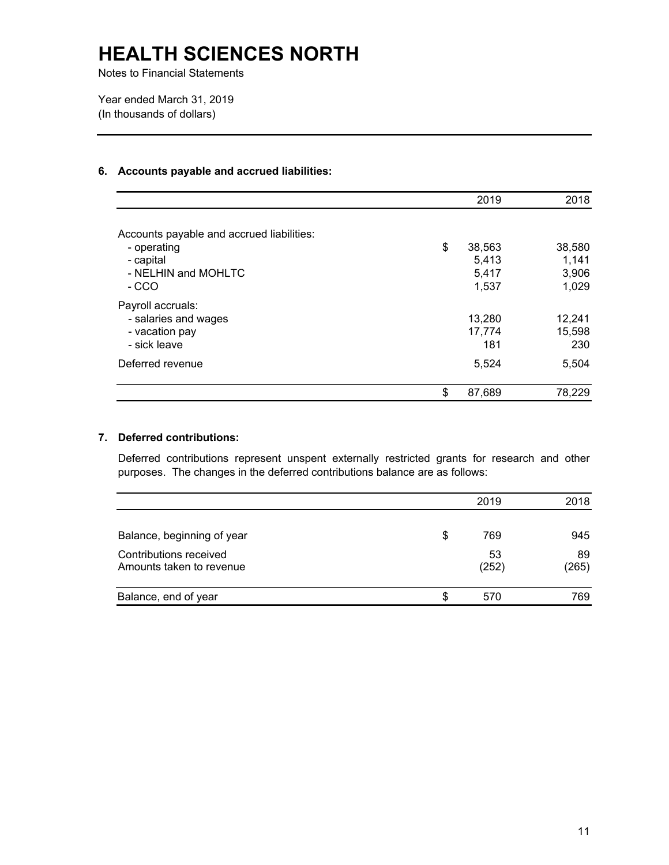Notes to Financial Statements

Year ended March 31, 2019 (In thousands of dollars)

#### **6. Accounts payable and accrued liabilities:**

|                                           | 2019         | 2018   |
|-------------------------------------------|--------------|--------|
| Accounts payable and accrued liabilities: |              |        |
| - operating                               | \$<br>38,563 | 38,580 |
| - capital                                 | 5,413        | 1,141  |
| - NELHIN and MOHLTC                       | 5,417        | 3,906  |
| - CCO                                     | 1,537        | 1,029  |
| Payroll accruals:                         |              |        |
| - salaries and wages                      | 13,280       | 12,241 |
| - vacation pay                            | 17,774       | 15,598 |
| - sick leave                              | 181          | 230    |
| Deferred revenue                          | 5,524        | 5,504  |
|                                           | \$<br>87,689 | 78,229 |

#### **7. Deferred contributions:**

Deferred contributions represent unspent externally restricted grants for research and other purposes. The changes in the deferred contributions balance are as follows:

|                            |     | 2019  | 2018  |
|----------------------------|-----|-------|-------|
|                            |     |       |       |
| Balance, beginning of year | \$  | 769   | 945   |
| Contributions received     |     | 53    | 89    |
| Amounts taken to revenue   |     | (252) | (265) |
| Balance, end of year       | \$. | 570   | 769   |
|                            |     |       |       |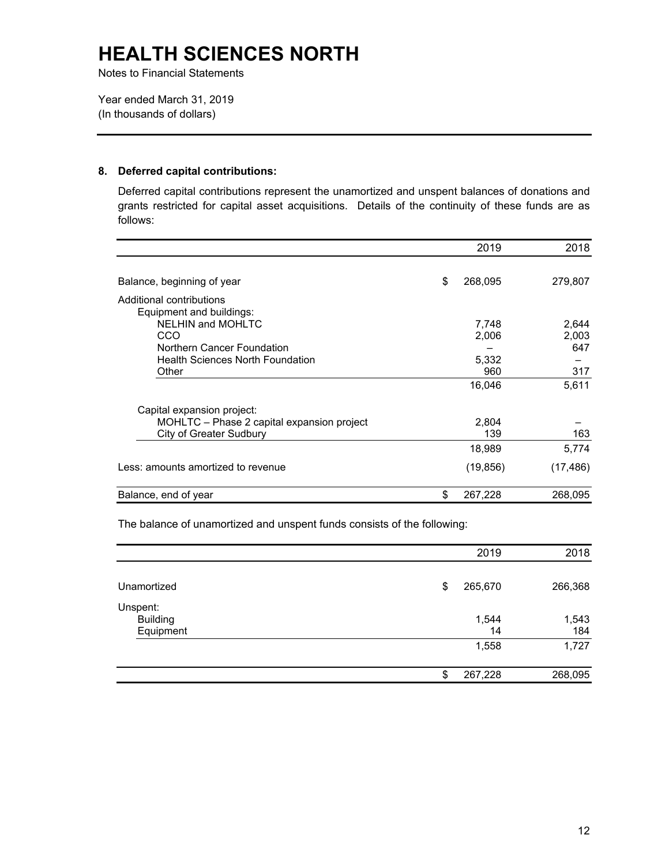Notes to Financial Statements

Year ended March 31, 2019 (In thousands of dollars)

#### **8. Deferred capital contributions:**

Deferred capital contributions represent the unamortized and unspent balances of donations and grants restricted for capital asset acquisitions. Details of the continuity of these funds are as follows:

|                                                      | 2019          | 2018      |
|------------------------------------------------------|---------------|-----------|
| Balance, beginning of year                           | \$<br>268,095 | 279,807   |
| Additional contributions<br>Equipment and buildings: |               |           |
| NELHIN and MOHLTC                                    | 7,748         | 2,644     |
| CCO                                                  | 2,006         | 2,003     |
| Northern Cancer Foundation                           |               | 647       |
| <b>Health Sciences North Foundation</b>              | 5,332         |           |
| Other                                                | 960           | 317       |
|                                                      | 16,046        | 5,611     |
| Capital expansion project:                           |               |           |
| MOHLTC – Phase 2 capital expansion project           | 2,804         |           |
| <b>City of Greater Sudbury</b>                       | 139           | 163       |
|                                                      | 18,989        | 5,774     |
| Less: amounts amortized to revenue                   | (19, 856)     | (17, 486) |
| Balance, end of year                                 | \$<br>267,228 | 268,095   |

The balance of unamortized and unspent funds consists of the following:

|                                          | 2019          | 2018         |
|------------------------------------------|---------------|--------------|
| Unamortized                              | 265,670<br>\$ | 266,368      |
| Unspent:<br><b>Building</b><br>Equipment | 1,544<br>14   | 1,543<br>184 |
|                                          | 1,558         | 1,727        |
|                                          | 267,228<br>\$ | 268,095      |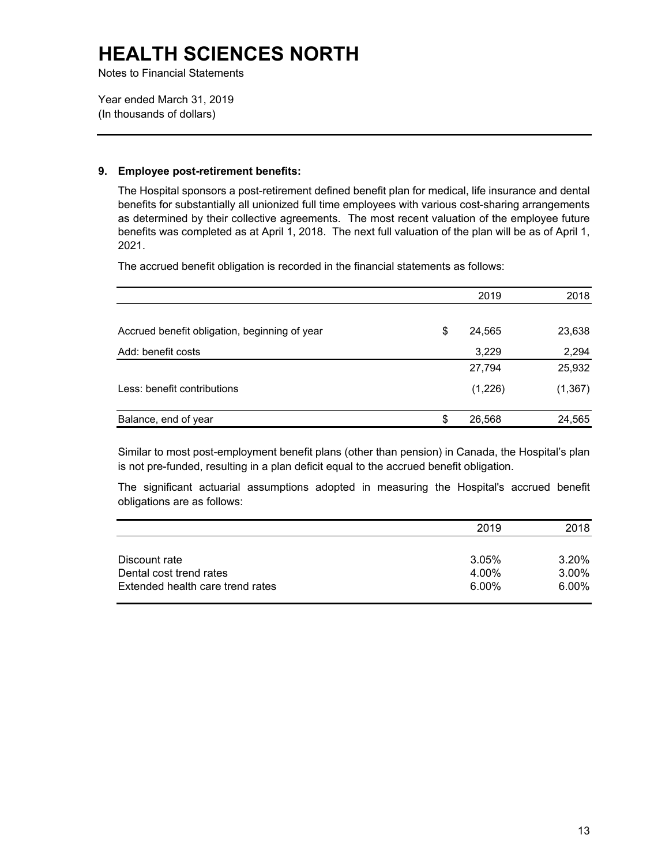Notes to Financial Statements

Year ended March 31, 2019 (In thousands of dollars)

### **9. Employee post-retirement benefits:**

The Hospital sponsors a post-retirement defined benefit plan for medical, life insurance and dental benefits for substantially all unionized full time employees with various cost-sharing arrangements as determined by their collective agreements. The most recent valuation of the employee future benefits was completed as at April 1, 2018. The next full valuation of the plan will be as of April 1, 2021.

The accrued benefit obligation is recorded in the financial statements as follows:

|                                               | 2019         | 2018     |
|-----------------------------------------------|--------------|----------|
|                                               |              |          |
| Accrued benefit obligation, beginning of year | \$<br>24,565 | 23,638   |
| Add: benefit costs                            | 3,229        | 2,294    |
|                                               | 27,794       | 25,932   |
| Less: benefit contributions                   | (1,226)      | (1, 367) |
| Balance, end of year                          | \$<br>26,568 | 24,565   |

 Similar to most post-employment benefit plans (other than pension) in Canada, the Hospital's plan is not pre-funded, resulting in a plan deficit equal to the accrued benefit obligation.

The significant actuarial assumptions adopted in measuring the Hospital's accrued benefit obligations are as follows:

|                                  | 2019  | 2018     |
|----------------------------------|-------|----------|
|                                  |       |          |
| Discount rate                    | 3.05% | 3.20%    |
| Dental cost trend rates          | 4.00% | 3.00%    |
| Extended health care trend rates | 6.00% | $6.00\%$ |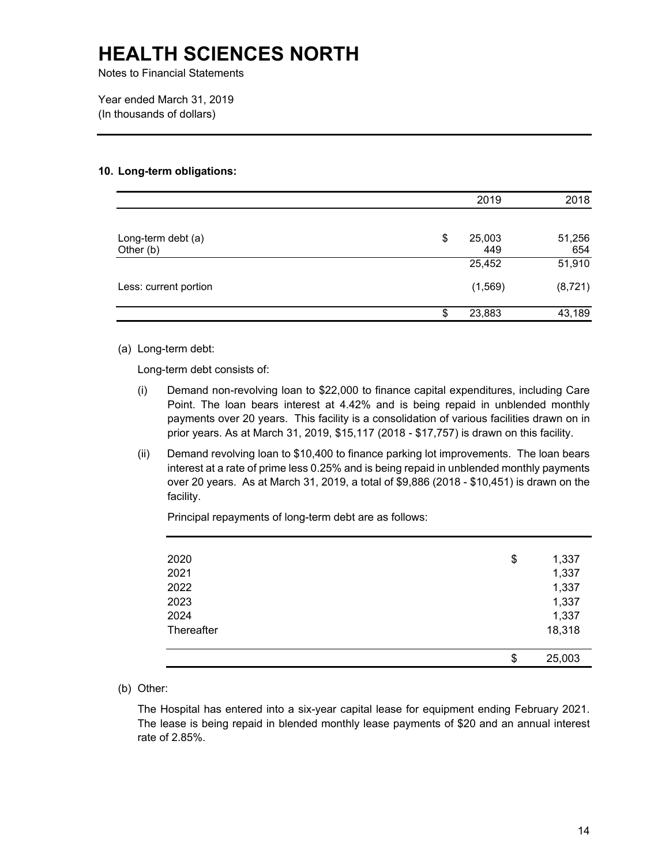Notes to Financial Statements

Year ended March 31, 2019 (In thousands of dollars)

#### **10. Long-term obligations:**

|                       | 2019         | 2018     |
|-----------------------|--------------|----------|
|                       |              |          |
| Long-term debt (a)    | \$<br>25,003 | 51,256   |
| Other (b)             | 449          | 654      |
|                       | 25,452       | 51,910   |
| Less: current portion | (1,569)      | (8, 721) |
|                       | \$<br>23,883 | 43,189   |

(a) Long-term debt:

Long-term debt consists of:

- (i) Demand non-revolving loan to \$22,000 to finance capital expenditures, including Care Point. The loan bears interest at 4.42% and is being repaid in unblended monthly payments over 20 years. This facility is a consolidation of various facilities drawn on in prior years. As at March 31, 2019, \$15,117 (2018 - \$17,757) is drawn on this facility.
- (ii) Demand revolving loan to \$10,400 to finance parking lot improvements. The loan bears interest at a rate of prime less 0.25% and is being repaid in unblended monthly payments over 20 years. As at March 31, 2019, a total of \$9,886 (2018 - \$10,451) is drawn on the facility.

Principal repayments of long-term debt are as follows:

| 2020       | \$<br>1,337  |
|------------|--------------|
| 2021       | 1,337        |
| 2022       | 1,337        |
| 2023       | 1,337        |
| 2024       | 1,337        |
| Thereafter | 18,318       |
|            |              |
|            | \$<br>25,003 |

(b) Other:

 The Hospital has entered into a six-year capital lease for equipment ending February 2021. The lease is being repaid in blended monthly lease payments of \$20 and an annual interest rate of 2.85%.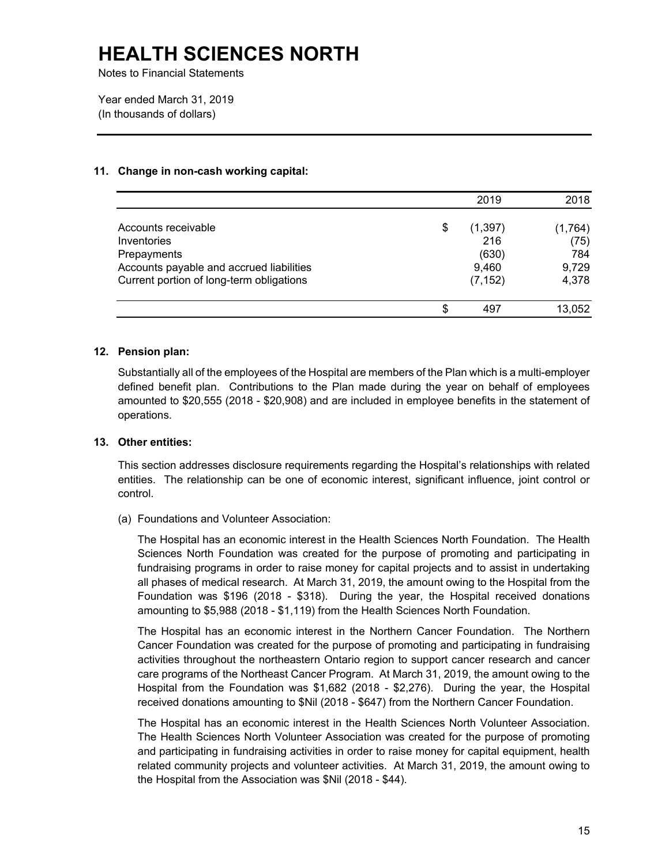Notes to Financial Statements

Year ended March 31, 2019 (In thousands of dollars)

#### **11. Change in non-cash working capital:**

|                                          | 2019           | 2018    |
|------------------------------------------|----------------|---------|
| Accounts receivable                      | \$<br>(1, 397) | (1,764) |
| Inventories                              | 216            | (75)    |
| Prepayments                              | (630)          | 784     |
| Accounts payable and accrued liabilities | 9,460          | 9,729   |
| Current portion of long-term obligations | (7, 152)       | 4,378   |
|                                          | \$<br>497      | 13,052  |

#### **12. Pension plan:**

 Substantially all of the employees of the Hospital are members of the Plan which is a multi-employer amounted to \$20,555 (2018 - \$20,908) and are included in employee benefits in the statement of defined benefit plan. Contributions to the Plan made during the year on behalf of employees operations.

#### **13. Other entities:**

 entities. The relationship can be one of economic interest, significant influence, joint control or This section addresses disclosure requirements regarding the Hospital's relationships with related control.

(a) Foundations and Volunteer Association:

 The Hospital has an economic interest in the Health Sciences North Foundation. The Health Foundation was \$196 (2018 - \$318). During the year, the Hospital received donations Sciences North Foundation was created for the purpose of promoting and participating in fundraising programs in order to raise money for capital projects and to assist in undertaking all phases of medical research. At March 31, 2019, the amount owing to the Hospital from the amounting to \$5,988 (2018 - \$1,119) from the Health Sciences North Foundation.

 activities throughout the northeastern Ontario region to support cancer research and cancer The Hospital has an economic interest in the Northern Cancer Foundation. The Northern Cancer Foundation was created for the purpose of promoting and participating in fundraising care programs of the Northeast Cancer Program. At March 31, 2019, the amount owing to the Hospital from the Foundation was \$1,682 (2018 - \$2,276). During the year, the Hospital received donations amounting to \$Nil (2018 - \$647) from the Northern Cancer Foundation.

 The Hospital has an economic interest in the Health Sciences North Volunteer Association. The Health Sciences North Volunteer Association was created for the purpose of promoting and participating in fundraising activities in order to raise money for capital equipment, health related community projects and volunteer activities. At March 31, 2019, the amount owing to the Hospital from the Association was \$Nil (2018 - \$44).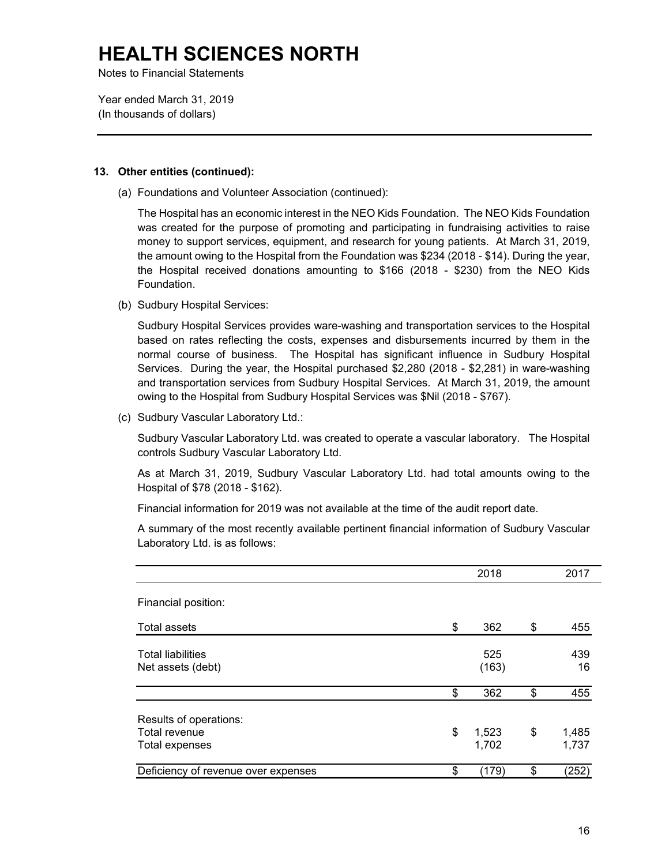Notes to Financial Statements

Year ended March 31, 2019 (In thousands of dollars)

#### **13. Other entities (continued):**

(a) Foundations and Volunteer Association (continued):

 The Hospital has an economic interest in the NEO Kids Foundation. The NEO Kids Foundation was created for the purpose of promoting and participating in fundraising activities to raise money to support services, equipment, and research for young patients. At March 31, 2019, the amount owing to the Hospital from the Foundation was \$234 (2018 - \$14). During the year, the Hospital received donations amounting to \$166 (2018 - \$230) from the NEO Kids Foundation.

(b) Sudbury Hospital Services:

 Services. During the year, the Hospital purchased \$2,280 (2018 - \$2,281) in ware-washing Sudbury Hospital Services provides ware-washing and transportation services to the Hospital based on rates reflecting the costs, expenses and disbursements incurred by them in the normal course of business. The Hospital has significant influence in Sudbury Hospital and transportation services from Sudbury Hospital Services. At March 31, 2019, the amount owing to the Hospital from Sudbury Hospital Services was \$Nil (2018 - \$767).

(c) Sudbury Vascular Laboratory Ltd.:

Sudbury Vascular Laboratory Ltd. was created to operate a vascular laboratory. The Hospital controls Sudbury Vascular Laboratory Ltd.

As at March 31, 2019, Sudbury Vascular Laboratory Ltd. had total amounts owing to the Hospital of \$78 (2018 - \$162).

Financial information for 2019 was not available at the time of the audit report date.

A summary of the most recently available pertinent financial information of Sudbury Vascular Laboratory Ltd. is as follows:

|                                                                  | 2018                 | 2017                 |
|------------------------------------------------------------------|----------------------|----------------------|
| Financial position:                                              |                      |                      |
| Total assets                                                     | \$<br>362            | \$<br>455            |
| <b>Total liabilities</b><br>Net assets (debt)                    | 525<br>(163)         | 439<br>16            |
|                                                                  | \$<br>362            | \$<br>455            |
| Results of operations:<br>Total revenue<br><b>Total expenses</b> | \$<br>1,523<br>1,702 | \$<br>1,485<br>1,737 |
| Deficiency of revenue over expenses                              | \$<br>(179)          | \$<br>(252)          |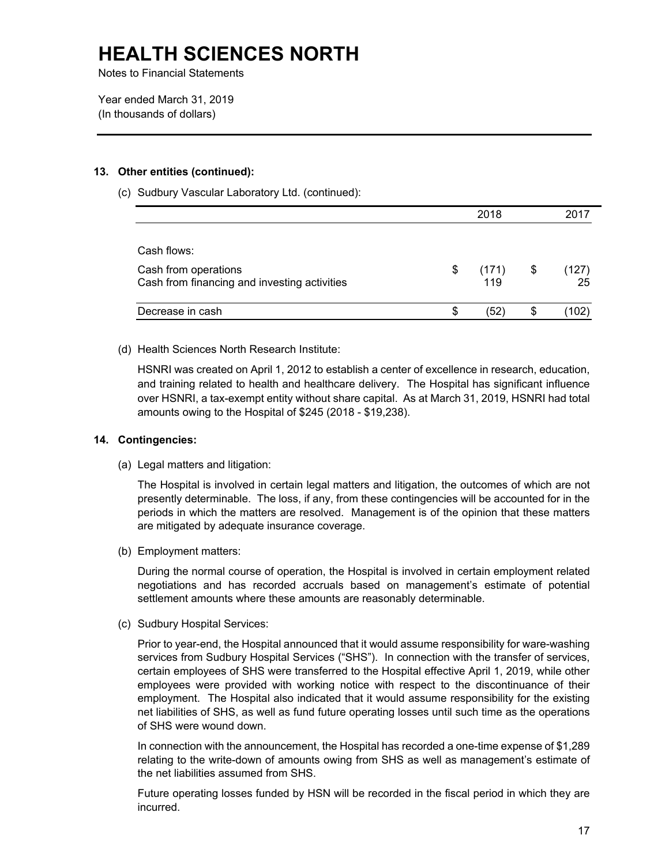Notes to Financial Statements

Year ended March 31, 2019 (In thousands of dollars)

#### **13. Other entities (continued):**

(c) Sudbury Vascular Laboratory Ltd. (continued):

|                                              |    | 2018  |             |
|----------------------------------------------|----|-------|-------------|
|                                              |    |       |             |
| Cash flows:                                  |    |       |             |
| Cash from operations                         | \$ | (171) | \$<br>(127) |
| Cash from financing and investing activities |    | 119   | 25          |
| Decrease in cash                             | S  | '52   | 102         |

(d) Health Sciences North Research Institute:

HSNRI was created on April 1, 2012 to establish a center of excellence in research, education, and training related to health and healthcare delivery. The Hospital has significant influence over HSNRI, a tax-exempt entity without share capital. As at March 31, 2019, HSNRI had total amounts owing to the Hospital of \$245 (2018 - \$19,238).

#### **14. Contingencies:**

(a) Legal matters and litigation:

 The Hospital is involved in certain legal matters and litigation, the outcomes of which are not presently determinable. The loss, if any, from these contingencies will be accounted for in the periods in which the matters are resolved. Management is of the opinion that these matters are mitigated by adequate insurance coverage.

(b) Employment matters:

During the normal course of operation, the Hospital is involved in certain employment related negotiations and has recorded accruals based on management's estimate of potential settlement amounts where these amounts are reasonably determinable.

(c) Sudbury Hospital Services:

 services from Sudbury Hospital Services ("SHS"). In connection with the transfer of services, of SHS were wound down. Prior to year-end, the Hospital announced that it would assume responsibility for ware-washing certain employees of SHS were transferred to the Hospital effective April 1, 2019, while other employees were provided with working notice with respect to the discontinuance of their employment. The Hospital also indicated that it would assume responsibility for the existing net liabilities of SHS, as well as fund future operating losses until such time as the operations

In connection with the announcement, the Hospital has recorded a one-time expense of \$1,289 relating to the write-down of amounts owing from SHS as well as management's estimate of the net liabilities assumed from SHS.

Future operating losses funded by HSN will be recorded in the fiscal period in which they are incurred.